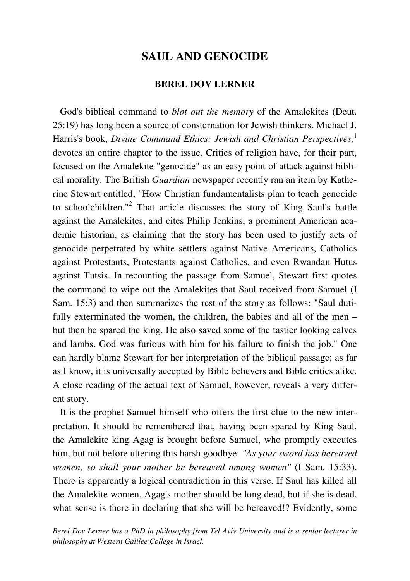# **SAUL AND GENOCIDE**

### **BEREL DOV LERNER**

 God's biblical command to *blot out the memory* of the Amalekites (Deut. 25:19) has long been a source of consternation for Jewish thinkers. Michael J. Harris's book, *Divine Command Ethics: Jewish and Christian Perspectives*,<sup>1</sup> devotes an entire chapter to the issue. Critics of religion have, for their part, focused on the Amalekite "genocide" as an easy point of attack against biblical morality. The British *Guardian* newspaper recently ran an item by Katherine Stewart entitled, "How Christian fundamentalists plan to teach genocide to schoolchildren."<sup>2</sup> That article discusses the story of King Saul's battle against the Amalekites, and cites Philip Jenkins, a prominent American academic historian, as claiming that the story has been used to justify acts of genocide perpetrated by white settlers against Native Americans, Catholics against Protestants, Protestants against Catholics, and even Rwandan Hutus against Tutsis. In recounting the passage from Samuel, Stewart first quotes the command to wipe out the Amalekites that Saul received from Samuel (I Sam. 15:3) and then summarizes the rest of the story as follows: "Saul dutifully exterminated the women, the children, the babies and all of the men – but then he spared the king. He also saved some of the tastier looking calves and lambs. God was furious with him for his failure to finish the job." One can hardly blame Stewart for her interpretation of the biblical passage; as far as I know, it is universally accepted by Bible believers and Bible critics alike. A close reading of the actual text of Samuel, however, reveals a very different story.

 It is the prophet Samuel himself who offers the first clue to the new interpretation. It should be remembered that, having been spared by King Saul, the Amalekite king Agag is brought before Samuel, who promptly executes him, but not before uttering this harsh goodbye: *"As your sword has bereaved women, so shall your mother be bereaved among women"* (I Sam. 15:33). There is apparently a logical contradiction in this verse. If Saul has killed all the Amalekite women, Agag's mother should be long dead, but if she is dead, what sense is there in declaring that she will be bereaved!? Evidently, some

*Berel Dov Lerner has a PhD in philosophy from Tel Aviv University and is a senior lecturer in philosophy at Western Galilee College in Israel.*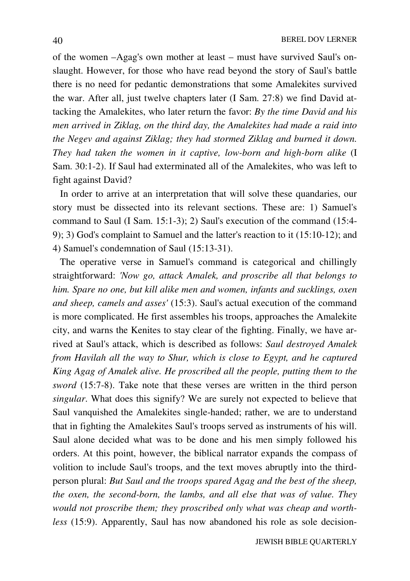of the women –Agag's own mother at least – must have survived Saul's onslaught. However, for those who have read beyond the story of Saul's battle there is no need for pedantic demonstrations that some Amalekites survived the war. After all, just twelve chapters later (I Sam. 27:8) we find David attacking the Amalekites, who later return the favor: *By the time David and his men arrived in Ziklag, on the third day, the Amalekites had made a raid into the Negev and against Ziklag; they had stormed Ziklag and burned it down. They had taken the women in it captive, low-born and high-born alike* (I Sam. 30:1-2). If Saul had exterminated all of the Amalekites, who was left to fight against David?

 In order to arrive at an interpretation that will solve these quandaries, our story must be dissected into its relevant sections. These are: 1) Samuel's command to Saul (I Sam. 15:1-3); 2) Saul's execution of the command (15:4- 9); 3) God's complaint to Samuel and the latter's reaction to it (15:10-12); and 4) Samuel's condemnation of Saul (15:13-31).

 The operative verse in Samuel's command is categorical and chillingly straightforward: *'Now go, attack Amalek, and proscribe all that belongs to him. Spare no one, but kill alike men and women, infants and sucklings, oxen and sheep, camels and asses'* (15:3). Saul's actual execution of the command is more complicated. He first assembles his troops, approaches the Amalekite city, and warns the Kenites to stay clear of the fighting. Finally, we have arrived at Saul's attack, which is described as follows: *Saul destroyed Amalek from Havilah all the way to Shur, which is close to Egypt, and he captured King Agag of Amalek alive. He proscribed all the people, putting them to the sword* (15:7-8). Take note that these verses are written in the third person *singular*. What does this signify? We are surely not expected to believe that Saul vanquished the Amalekites single-handed; rather, we are to understand that in fighting the Amalekites Saul's troops served as instruments of his will. Saul alone decided what was to be done and his men simply followed his orders. At this point, however, the biblical narrator expands the compass of volition to include Saul's troops, and the text moves abruptly into the thirdperson plural: *But Saul and the troops spared Agag and the best of the sheep, the oxen, the second-born, the lambs, and all else that was of value. They would not proscribe them; they proscribed only what was cheap and worthless* (15:9). Apparently, Saul has now abandoned his role as sole decision-

JEWISH BIBLE QUARTERLY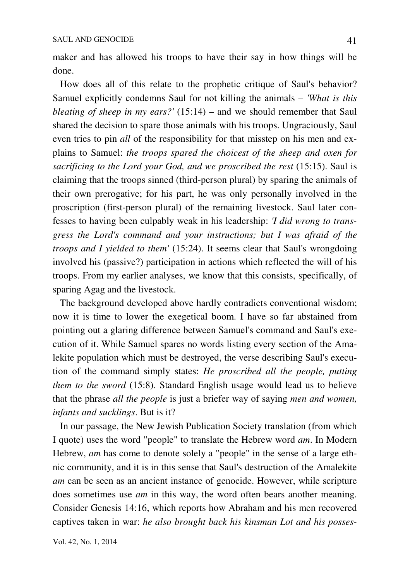maker and has allowed his troops to have their say in how things will be done.

 How does all of this relate to the prophetic critique of Saul's behavior? Samuel explicitly condemns Saul for not killing the animals – *'What is this bleating of sheep in my ears?'* (15:14) – and we should remember that Saul shared the decision to spare those animals with his troops. Ungraciously, Saul even tries to pin *all* of the responsibility for that misstep on his men and explains to Samuel: *the troops spared the choicest of the sheep and oxen for sacrificing to the Lord your God, and we proscribed the rest* (15:15). Saul is claiming that the troops sinned (third-person plural) by sparing the animals of their own prerogative; for his part, he was only personally involved in the proscription (first-person plural) of the remaining livestock. Saul later confesses to having been culpably weak in his leadership: *'I did wrong to transgress the Lord's command and your instructions; but I was afraid of the troops and I yielded to them'* (15:24). It seems clear that Saul's wrongdoing involved his (passive?) participation in actions which reflected the will of his troops. From my earlier analyses, we know that this consists, specifically, of sparing Agag and the livestock.

 The background developed above hardly contradicts conventional wisdom; now it is time to lower the exegetical boom. I have so far abstained from pointing out a glaring difference between Samuel's command and Saul's execution of it. While Samuel spares no words listing every section of the Amalekite population which must be destroyed, the verse describing Saul's execution of the command simply states: *He proscribed all the people, putting them to the sword* (15:8). Standard English usage would lead us to believe that the phrase *all the people* is just a briefer way of saying *men and women, infants and sucklings*. But is it?

 In our passage, the New Jewish Publication Society translation (from which I quote) uses the word "people" to translate the Hebrew word *am*. In Modern Hebrew, *am* has come to denote solely a "people" in the sense of a large ethnic community, and it is in this sense that Saul's destruction of the Amalekite *am* can be seen as an ancient instance of genocide. However, while scripture does sometimes use *am* in this way, the word often bears another meaning. Consider Genesis 14:16, which reports how Abraham and his men recovered captives taken in war: *he also brought back his kinsman Lot and his posses-*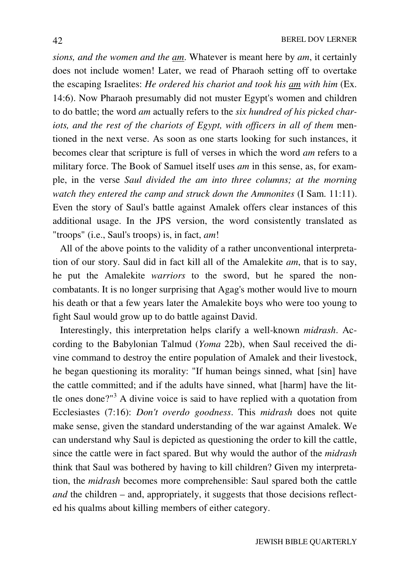*sions, and the women and the am*. Whatever is meant here by *am*, it certainly does not include women! Later, we read of Pharaoh setting off to overtake the escaping Israelites: *He ordered his chariot and took his am with him* (Ex. 14:6). Now Pharaoh presumably did not muster Egypt's women and children to do battle; the word *am* actually refers to the *six hundred of his picked chariots, and the rest of the chariots of Egypt, with officers in all of them* mentioned in the next verse. As soon as one starts looking for such instances, it becomes clear that scripture is full of verses in which the word *am* refers to a military force. The Book of Samuel itself uses *am* in this sense, as, for example, in the verse *Saul divided the am into three columns; at the morning watch they entered the camp and struck down the Ammonites* (I Sam. 11:11). Even the story of Saul's battle against Amalek offers clear instances of this additional usage. In the JPS version, the word consistently translated as "troops" (i.e., Saul's troops) is, in fact, *am*!

 All of the above points to the validity of a rather unconventional interpretation of our story. Saul did in fact kill all of the Amalekite *am*, that is to say, he put the Amalekite *warriors* to the sword, but he spared the noncombatants. It is no longer surprising that Agag's mother would live to mourn his death or that a few years later the Amalekite boys who were too young to fight Saul would grow up to do battle against David.

 Interestingly, this interpretation helps clarify a well-known *midrash*. According to the Babylonian Talmud (*Yoma* 22b), when Saul received the divine command to destroy the entire population of Amalek and their livestock, he began questioning its morality: "If human beings sinned, what [sin] have the cattle committed; and if the adults have sinned, what [harm] have the little ones done?"<sup>3</sup> A divine voice is said to have replied with a quotation from Ecclesiastes (7:16): *Don't overdo goodness*. This *midrash* does not quite make sense, given the standard understanding of the war against Amalek. We can understand why Saul is depicted as questioning the order to kill the cattle, since the cattle were in fact spared. But why would the author of the *midrash*  think that Saul was bothered by having to kill children? Given my interpretation, the *midrash* becomes more comprehensible: Saul spared both the cattle *and* the children – and, appropriately, it suggests that those decisions reflected his qualms about killing members of either category.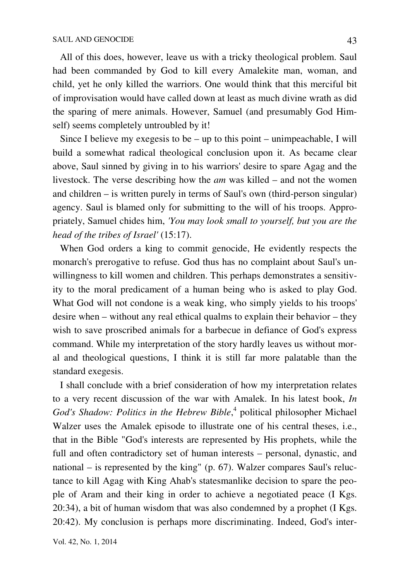All of this does, however, leave us with a tricky theological problem. Saul had been commanded by God to kill every Amalekite man, woman, and child, yet he only killed the warriors. One would think that this merciful bit of improvisation would have called down at least as much divine wrath as did the sparing of mere animals. However, Samuel (and presumably God Himself) seems completely untroubled by it!

 Since I believe my exegesis to be – up to this point – unimpeachable, I will build a somewhat radical theological conclusion upon it. As became clear above, Saul sinned by giving in to his warriors' desire to spare Agag and the livestock. The verse describing how the *am* was killed – and not the women and children – is written purely in terms of Saul's own (third-person singular) agency. Saul is blamed only for submitting to the will of his troops. Appropriately, Samuel chides him, *'You may look small to yourself, but you are the head of the tribes of Israel'* (15:17).

 When God orders a king to commit genocide, He evidently respects the monarch's prerogative to refuse. God thus has no complaint about Saul's unwillingness to kill women and children. This perhaps demonstrates a sensitivity to the moral predicament of a human being who is asked to play God. What God will not condone is a weak king, who simply yields to his troops' desire when – without any real ethical qualms to explain their behavior – they wish to save proscribed animals for a barbecue in defiance of God's express command. While my interpretation of the story hardly leaves us without moral and theological questions, I think it is still far more palatable than the standard exegesis.

 I shall conclude with a brief consideration of how my interpretation relates to a very recent discussion of the war with Amalek. In his latest book, *In*  God's Shadow: Politics in the Hebrew Bible,<sup>4</sup> political philosopher Michael Walzer uses the Amalek episode to illustrate one of his central theses, i.e., that in the Bible "God's interests are represented by His prophets, while the full and often contradictory set of human interests – personal, dynastic, and national – is represented by the king" (p. 67). Walzer compares Saul's reluctance to kill Agag with King Ahab's statesmanlike decision to spare the people of Aram and their king in order to achieve a negotiated peace (I Kgs. 20:34), a bit of human wisdom that was also condemned by a prophet (I Kgs. 20:42). My conclusion is perhaps more discriminating. Indeed, God's inter